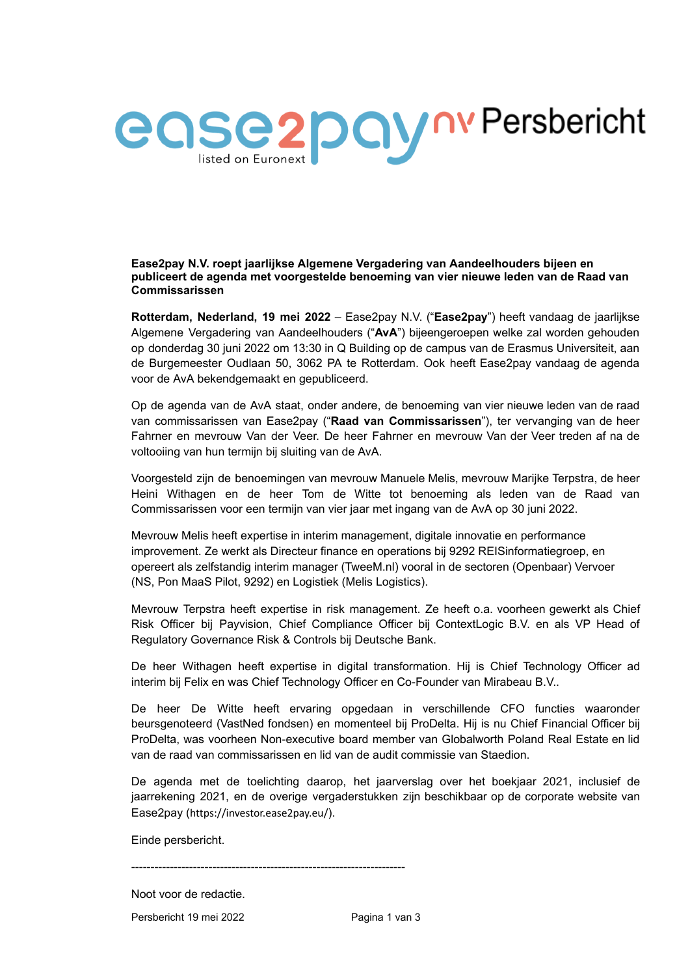# **ease2paynv Persbericht**

**Ease2pay N.V. roept jaarlijkse Algemene Vergadering van Aandeelhouders bijeen en publiceert de agenda met voorgestelde benoeming van vier nieuwe leden van de Raad van Commissarissen**

**Rotterdam, Nederland, 19 mei 2022** – Ease2pay N.V. ("**Ease2pay**") heeft vandaag de jaarlijkse Algemene Vergadering van Aandeelhouders ("**AvA**") bijeengeroepen welke zal worden gehouden op donderdag 30 juni 2022 om 13:30 in Q Building op de campus van de Erasmus Universiteit, aan de Burgemeester Oudlaan 50, 3062 PA te Rotterdam. Ook heeft Ease2pay vandaag de agenda voor de AvA bekendgemaakt en gepubliceerd.

Op de agenda van de AvA staat, onder andere, de benoeming van vier nieuwe leden van de raad van commissarissen van Ease2pay ("**Raad van Commissarissen**"), ter vervanging van de heer Fahrner en mevrouw Van der Veer. De heer Fahrner en mevrouw Van der Veer treden af na de voltooiing van hun termijn bij sluiting van de AvA.

Voorgesteld zijn de benoemingen van mevrouw Manuele Melis, mevrouw Marijke Terpstra, de heer Heini Withagen en de heer Tom de Witte tot benoeming als leden van de Raad van Commissarissen voor een termijn van vier jaar met ingang van de AvA op 30 juni 2022.

Mevrouw Melis heeft expertise in interim management, digitale innovatie en performance improvement. Ze werkt als Directeur finance en operations bij 9292 REISinformatiegroep, en opereert als zelfstandig interim manager (TweeM.nl) vooral in de sectoren (Openbaar) Vervoer (NS, Pon MaaS Pilot, 9292) en Logistiek (Melis Logistics).

Mevrouw Terpstra heeft expertise in risk management. Ze heeft o.a. voorheen gewerkt als Chief Risk Officer bij Payvision, Chief Compliance Officer bij ContextLogic B.V. en als VP Head of Regulatory Governance Risk & Controls bij Deutsche Bank.

De heer Withagen heeft expertise in digital transformation. Hij is Chief Technology Officer ad interim bij Felix en was Chief Technology Officer en Co-Founder van Mirabeau B.V..

De heer De Witte heeft ervaring opgedaan in verschillende CFO functies waaronder beursgenoteerd (VastNed fondsen) en momenteel bij ProDelta. Hij is nu Chief Financial Officer bij ProDelta, was voorheen Non-executive board member van Globalworth Poland Real Estate en lid van de raad van commissarissen en lid van de audit commissie van Staedion.

De agenda met de toelichting daarop, het jaarverslag over het boekjaar 2021, inclusief de jaarrekening 2021, en de overige vergaderstukken zijn beschikbaar op de corporate website van Ease2pay (https://investor.ease2pay.eu/).

Einde persbericht.

-----------------------------------------------------------------------

Noot voor de redactie.

Persbericht 19 mei 2022 Pagina 1 van 3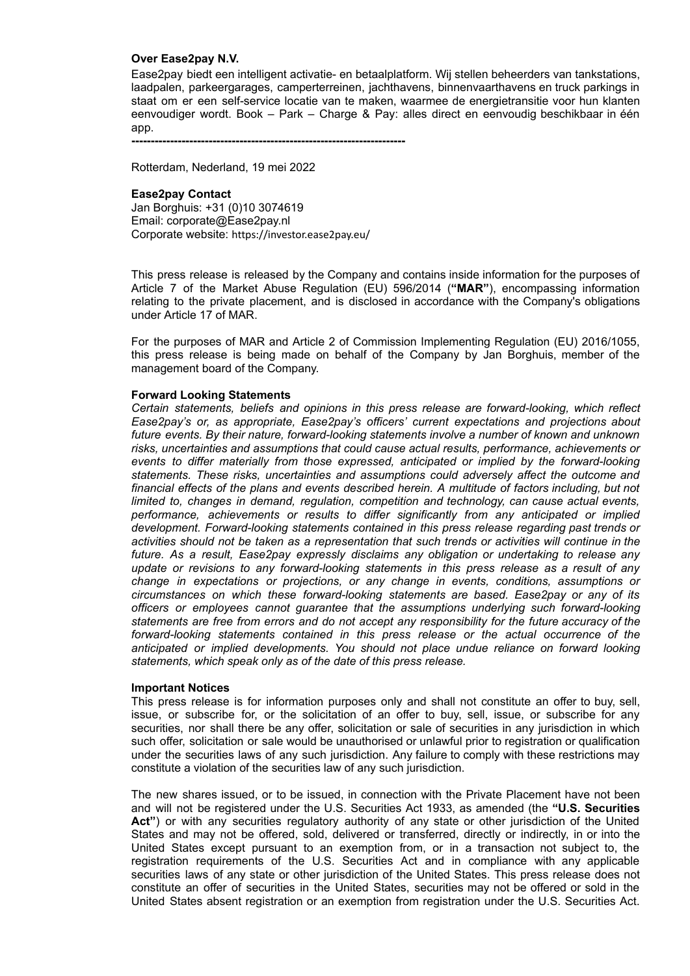# **Over Ease2pay N.V.**

Ease2pay biedt een intelligent activatie- en betaalplatform. Wij stellen beheerders van tankstations, laadpalen, parkeergarages, camperterreinen, jachthavens, binnenvaarthavens en truck parkings in staat om er een self-service locatie van te maken, waarmee de energietransitie voor hun klanten eenvoudiger wordt. Book – Park – Charge & Pay: alles direct en eenvoudig beschikbaar in één app.

**-----------------------------------------------------------------------**

Rotterdam, Nederland, 19 mei 2022

## **Ease2pay Contact**

Jan Borghuis: +31 (0)10 3074619 Email: corporate@Ease2pay.nl Corporate website: https://investor.ease2pay.eu/

This press release is released by the Company and contains inside information for the purposes of Article 7 of the Market Abuse Regulation (EU) 596/2014 (**"MAR"**), encompassing information relating to the private placement, and is disclosed in accordance with the Company's obligations under Article 17 of MAR.

For the purposes of MAR and Article 2 of Commission Implementing Regulation (EU) 2016/1055, this press release is being made on behalf of the Company by Jan Borghuis, member of the management board of the Company.

### **Forward Looking Statements**

*Certain statements, beliefs and opinions in this press release are forward-looking, which reflect Ease2pay's or, as appropriate, Ease2pay's officers' current expectations and projections about future events. By their nature, forward-looking statements involve a number of known and unknown risks, uncertainties and assumptions that could cause actual results, performance, achievements or events to differ materially from those expressed, anticipated or implied by the forward-looking statements. These risks, uncertainties and assumptions could adversely affect the outcome and financial effects of the plans and events described herein. A multitude of factors including, but not limited to, changes in demand, regulation, competition and technology, can cause actual events, performance, achievements or results to differ significantly from any anticipated or implied development. Forward-looking statements contained in this press release regarding past trends or activities should not be taken as a representation that such trends or activities will continue in the future. As a result, Ease2pay expressly disclaims any obligation or undertaking to release any update or revisions to any forward-looking statements in this press release as a result of any change in expectations or projections, or any change in events, conditions, assumptions or circumstances on which these forward-looking statements are based. Ease2pay or any of its officers or employees cannot guarantee that the assumptions underlying such forward-looking statements are free from errors and do not accept any responsibility for the future accuracy of the forward-looking statements contained in this press release or the actual occurrence of the anticipated or implied developments. You should not place undue reliance on forward looking statements, which speak only as of the date of this press release.*

### **Important Notices**

This press release is for information purposes only and shall not constitute an offer to buy, sell, issue, or subscribe for, or the solicitation of an offer to buy, sell, issue, or subscribe for any securities, nor shall there be any offer, solicitation or sale of securities in any jurisdiction in which such offer, solicitation or sale would be unauthorised or unlawful prior to registration or qualification under the securities laws of any such jurisdiction. Any failure to comply with these restrictions may constitute a violation of the securities law of any such jurisdiction.

The new shares issued, or to be issued, in connection with the Private Placement have not been and will not be registered under the U.S. Securities Act 1933, as amended (the **"U.S. Securities** Act") or with any securities regulatory authority of any state or other jurisdiction of the United States and may not be offered, sold, delivered or transferred, directly or indirectly, in or into the United States except pursuant to an exemption from, or in a transaction not subject to, the registration requirements of the U.S. Securities Act and in compliance with any applicable securities laws of any state or other jurisdiction of the United States. This press release does not constitute an offer of securities in the United States, securities may not be offered or sold in the United States absent registration or an exemption from registration under the U.S. Securities Act.